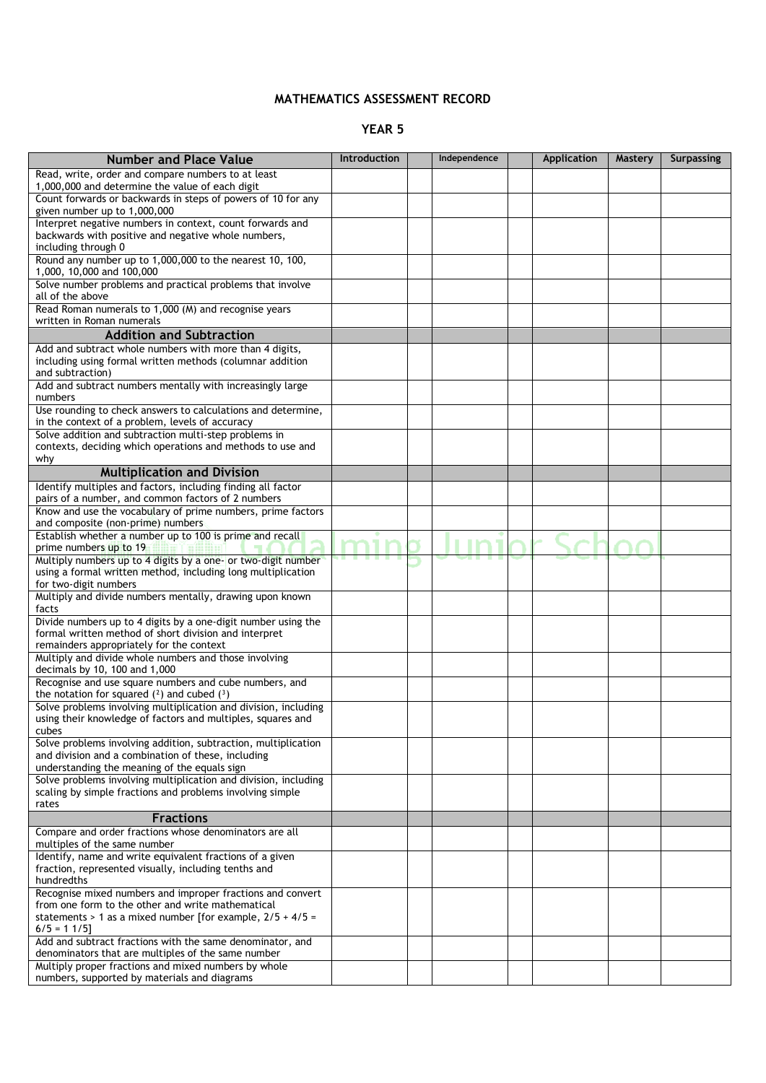## **MATHEMATICS ASSESSMENT RECORD**

## **YEAR 5**

| <b>Number and Place Value</b>                                                                                                            | Introduction | Independence | Application | Mastery | <b>Surpassing</b> |
|------------------------------------------------------------------------------------------------------------------------------------------|--------------|--------------|-------------|---------|-------------------|
|                                                                                                                                          |              |              |             |         |                   |
| Read, write, order and compare numbers to at least<br>1,000,000 and determine the value of each digit                                    |              |              |             |         |                   |
| Count forwards or backwards in steps of powers of 10 for any<br>given number up to 1,000,000                                             |              |              |             |         |                   |
| Interpret negative numbers in context, count forwards and<br>backwards with positive and negative whole numbers,<br>including through 0  |              |              |             |         |                   |
| Round any number up to 1,000,000 to the nearest 10, 100,<br>1,000, 10,000 and 100,000                                                    |              |              |             |         |                   |
| Solve number problems and practical problems that involve<br>all of the above                                                            |              |              |             |         |                   |
| Read Roman numerals to 1,000 (M) and recognise years<br>written in Roman numerals                                                        |              |              |             |         |                   |
| <b>Addition and Subtraction</b>                                                                                                          |              |              |             |         |                   |
| Add and subtract whole numbers with more than 4 digits,<br>including using formal written methods (columnar addition<br>and subtraction) |              |              |             |         |                   |
| Add and subtract numbers mentally with increasingly large<br>numbers                                                                     |              |              |             |         |                   |
| Use rounding to check answers to calculations and determine,<br>in the context of a problem, levels of accuracy                          |              |              |             |         |                   |
| Solve addition and subtraction multi-step problems in<br>contexts, deciding which operations and methods to use and<br>why               |              |              |             |         |                   |
| <b>Multiplication and Division</b>                                                                                                       |              |              |             |         |                   |
| Identify multiples and factors, including finding all factor                                                                             |              |              |             |         |                   |
| pairs of a number, and common factors of 2 numbers<br>Know and use the vocabulary of prime numbers, prime factors                        |              |              |             |         |                   |
| and composite (non-prime) numbers<br>Establish whether a number up to 100 is prime and recall                                            |              |              |             |         |                   |
| prime numbers up to 19<br>Bo Hom                                                                                                         |              |              |             |         |                   |
| Multiply numbers up to 4 digits by a one- or two-digit number<br>using a formal written method, including long multiplication            |              |              |             |         |                   |
| for two-digit numbers<br>Multiply and divide numbers mentally, drawing upon known                                                        |              |              |             |         |                   |
| facts<br>Divide numbers up to 4 digits by a one-digit number using the                                                                   |              |              |             |         |                   |
| formal written method of short division and interpret<br>remainders appropriately for the context                                        |              |              |             |         |                   |
| Multiply and divide whole numbers and those involving<br>decimals by 10, 100 and 1,000                                                   |              |              |             |         |                   |
| Recognise and use square numbers and cube numbers, and<br>the notation for squared $(2)$ and cubed $(3)$                                 |              |              |             |         |                   |
| Solve problems involving multiplication and division, including<br>using their knowledge of factors and multiples, squares and           |              |              |             |         |                   |
| cubes                                                                                                                                    |              |              |             |         |                   |
| Solve problems involving addition, subtraction, multiplication<br>and division and a combination of these, including                     |              |              |             |         |                   |
| understanding the meaning of the equals sign<br>Solve problems involving multiplication and division, including                          |              |              |             |         |                   |
| scaling by simple fractions and problems involving simple<br>rates                                                                       |              |              |             |         |                   |
| <b>Fractions</b>                                                                                                                         |              |              |             |         |                   |
| Compare and order fractions whose denominators are all<br>multiples of the same number                                                   |              |              |             |         |                   |
| Identify, name and write equivalent fractions of a given<br>fraction, represented visually, including tenths and                         |              |              |             |         |                   |
| hundredths                                                                                                                               |              |              |             |         |                   |
| Recognise mixed numbers and improper fractions and convert<br>from one form to the other and write mathematical                          |              |              |             |         |                   |
| statements > 1 as a mixed number [for example, $2/5 + 4/5 =$<br>$6/5 = 11/5$                                                             |              |              |             |         |                   |
| Add and subtract fractions with the same denominator, and<br>denominators that are multiples of the same number                          |              |              |             |         |                   |
| Multiply proper fractions and mixed numbers by whole<br>numbers, supported by materials and diagrams                                     |              |              |             |         |                   |